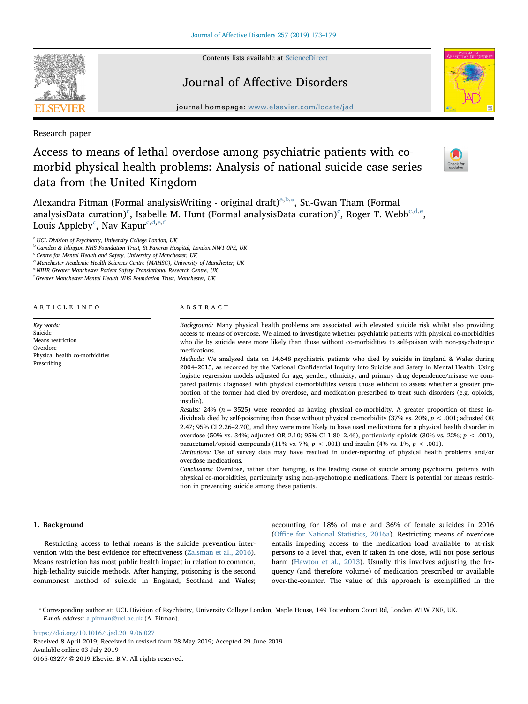Contents lists available at [ScienceDirect](http://www.sciencedirect.com/science/journal/01650327)

# Journal of Affective Disorders

journal homepage: [www.elsevier.com/locate/jad](https://www.elsevier.com/locate/jad)

Research paper

# Access to means of lethal overdose among psychiatric patients with comorbid physical health problems: Analysis of national suicide case series data from the United Kingdom



Alex[a](#page-0-0)ndra Pitman (Formal analysisWriting - original draft)<sup>a,[b,](#page-0-1)\*</sup>, Su-Gwan Tham (Formal analysisData [c](#page-0-3)uration) $\mathrm{^c}$ , Isab[e](#page-0-5)lle M. Hunt (Formal analysisData curation) $\mathrm{^c}$ , Roger T. Webb $\mathrm{^{c,d,e}}$  $\mathrm{^{c,d,e}}$  $\mathrm{^{c,d,e}}$  $\mathrm{^{c,d,e}}$ , Louis Appleby<sup>[c](#page-0-3)</sup>, Nav Kapur<sup>[c,](#page-0-3)[d](#page-0-4),[e](#page-0-5),[f](#page-0-6)</sup>

<span id="page-0-0"></span><sup>a</sup> UCL Division of Psychiatry, University College London, UK

<span id="page-0-1"></span><sup>b</sup> Camden & Islington NHS Foundation Trust, St Pancras Hospital, London NW1 0PE, UK

<span id="page-0-3"></span> $c$  Centre for Mental Health and Safety, University of Manchester, UK

<span id="page-0-4"></span><sup>d</sup> Manchester Academic Health Sciences Centre (MAHSC), University of Manchester, UK

<span id="page-0-5"></span><sup>e</sup> NIHR Greater Manchester Patient Safety Translational Research Centre, UK

<span id="page-0-6"></span> $^{\rm f}$  Greater Manchester Mental Health NHS Foundation Trust, Manchester, UK

ARTICLE INFO

Physical health co-morbidities

Key words: Suicide Means restriction Overdose

Prescribing

### ABSTRACT

Background: Many physical health problems are associated with elevated suicide risk whilst also providing access to means of overdose. We aimed to investigate whether psychiatric patients with physical co-morbidities who die by suicide were more likely than those without co-morbidities to self-poison with non-psychotropic medications.

Methods: We analysed data on 14,648 psychiatric patients who died by suicide in England & Wales during 2004–2015, as recorded by the National Confidential Inquiry into Suicide and Safety in Mental Health. Using logistic regression models adjusted for age, gender, ethnicity, and primary drug dependence/misuse we compared patients diagnosed with physical co-morbidities versus those without to assess whether a greater proportion of the former had died by overdose, and medication prescribed to treat such disorders (e.g. opioids, insulin).

Results:  $24\%$  ( $n = 3525$ ) were recorded as having physical co-morbidity. A greater proportion of these individuals died by self-poisoning than those without physical co-morbidity (37% vs. 20%, p < .001; adjusted OR 2.47; 95% CI 2.26–2.70), and they were more likely to have used medications for a physical health disorder in overdose (50% vs. 34%; adjusted OR 2.10; 95% CI 1.80–2.46), particularly opioids (30% vs. 22%;  $p < .001$ ), paracetamol/opioid compounds (11% vs. 7%,  $p < .001$ ) and insulin (4% vs. 1%,  $p < .001$ ).

Limitations: Use of survey data may have resulted in under-reporting of physical health problems and/or overdose medications.

Conclusions: Overdose, rather than hanging, is the leading cause of suicide among psychiatric patients with physical co-morbidities, particularly using non-psychotropic medications. There is potential for means restriction in preventing suicide among these patients.

## 1. Background

Restricting access to lethal means is the suicide prevention intervention with the best evidence for effectiveness [\(Zalsman et al., 2016](#page-6-0)). Means restriction has most public health impact in relation to common, high-lethality suicide methods. After hanging, poisoning is the second commonest method of suicide in England, Scotland and Wales;

accounting for 18% of male and 36% of female suicides in 2016 (Offi[ce for National Statistics, 2016a\)](#page-6-1). Restricting means of overdose entails impeding access to the medication load available to at-risk persons to a level that, even if taken in one dose, will not pose serious harm ([Hawton et al., 2013](#page-6-2)). Usually this involves adjusting the frequency (and therefore volume) of medication prescribed or available over-the-counter. The value of this approach is exemplified in the

<https://doi.org/10.1016/j.jad.2019.06.027> Received 8 April 2019; Received in revised form 28 May 2019; Accepted 29 June 2019 Available online 03 July 2019 0165-0327/ © 2019 Elsevier B.V. All rights reserved.



<span id="page-0-2"></span><sup>⁎</sup> Corresponding author at: UCL Division of Psychiatry, University College London, Maple House, 149 Tottenham Court Rd, London W1W 7NF, UK. E-mail address: [a.pitman@ucl.ac.uk](mailto:a.pitman@ucl.ac.uk) (A. Pitman).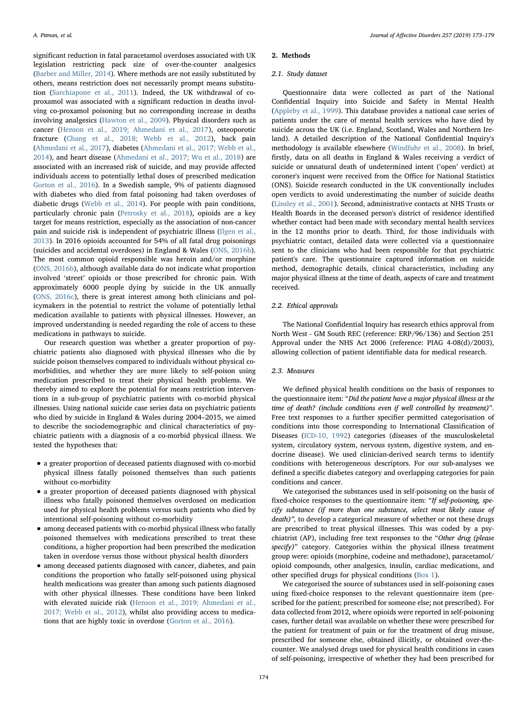significant reduction in fatal paracetamol overdoses associated with UK legislation restricting pack size of over-the-counter analgesics ([Barber and Miller, 2014](#page-6-3)). Where methods are not easily substituted by others, means restriction does not necessarily prompt means substitution [\(Sarchiapone et al., 2011\)](#page-6-4). Indeed, the UK withdrawal of coproxamol was associated with a significant reduction in deaths involving co-proxamol poisoning but no corresponding increase in deaths involving analgesics [\(Hawton et al., 2009](#page-6-5)). Physical disorders such as cancer [\(Henson et al., 2019; Ahmedani et al., 2017](#page-6-6)), osteoporotic fracture [\(Chang et al., 2018; Webb et al., 2012](#page-6-7)), back pain ([Ahmedani et al., 2017\)](#page-6-8), diabetes [\(Ahmedani et al., 2017; Webb et al.,](#page-6-8) [2014\)](#page-6-8), and heart disease [\(Ahmedani et al., 2017; Wu et al., 2018\)](#page-6-8) are associated with an increased risk of suicide, and may provide affected individuals access to potentially lethal doses of prescribed medication [Gorton et al., 2016\)](#page-6-9). In a Swedish sample, 9% of patients diagnosed with diabetes who died from fatal poisoning had taken overdoses of diabetic drugs [\(Webb et al., 2014\)](#page-6-10). For people with pain conditions, particularly chronic pain ([Petrosky et al., 2018\)](#page-6-11), opioids are a key target for means restriction, especially as the association of non-cancer pain and suicide risk is independent of psychiatric illness [\(Ilgen et al.,](#page-6-12) [2013\)](#page-6-12). In 2016 opioids accounted for 54% of all fatal drug poisonings (suicides and accidental overdoses) in England & Wales ([ONS, 2016b](#page-6-13)). The most common opioid responsible was heroin and/or morphine ([ONS, 2016b](#page-6-13)), although available data do not indicate what proportion involved 'street' opioids or those prescribed for chronic pain. With approximately 6000 people dying by suicide in the UK annually ([ONS, 2016c\)](#page-6-14), there is great interest among both clinicians and policymakers in the potential to restrict the volume of potentially lethal medication available to patients with physical illnesses. However, an improved understanding is needed regarding the role of access to these medications in pathways to suicide.

Our research question was whether a greater proportion of psychiatric patients also diagnosed with physical illnesses who die by suicide poison themselves compared to individuals without physical comorbidities, and whether they are more likely to self-poison using medication prescribed to treat their physical health problems. We thereby aimed to explore the potential for means restriction interventions in a sub-group of psychiatric patients with co-morbid physical illnesses. Using national suicide case series data on psychiatric patients who died by suicide in England & Wales during 2004–2015, we aimed to describe the sociodemographic and clinical characteristics of psychiatric patients with a diagnosis of a co-morbid physical illness. We tested the hypotheses that:

- a greater proportion of deceased patients diagnosed with co-morbid physical illness fatally poisoned themselves than such patients without co-morbidity
- a greater proportion of deceased patients diagnosed with physical illness who fatally poisoned themselves overdosed on medication used for physical health problems versus such patients who died by intentional self-poisoning without co-morbidity
- among deceased patients with co-morbid physical illness who fatally poisoned themselves with medications prescribed to treat these conditions, a higher proportion had been prescribed the medication taken in overdose versus those without physical health disorders
- among deceased patients diagnosed with cancer, diabetes, and pain conditions the proportion who fatally self-poisoned using physical health medications was greater than among such patients diagnosed with other physical illnesses. These conditions have been linked with elevated suicide risk ([Henson et al., 2019; Ahmedani et al.,](#page-6-6) [2017; Webb et al., 2012\)](#page-6-6), whilst also providing access to medications that are highly toxic in overdose [\(Gorton et al., 2016](#page-6-9)).

## 2. Methods

## 2.1. Study dataset

Questionnaire data were collected as part of the National Confidential Inquiry into Suicide and Safety in Mental Health ([Appleby et al., 1999\)](#page-6-15). This database provides a national case series of patients under the care of mental health services who have died by suicide across the UK (i.e. England, Scotland, Wales and Northern Ireland). A detailed description of the National Confidential Inquiry's methodology is available elsewhere [\(Windfuhr et al., 2008](#page-6-16)). In brief, firstly, data on all deaths in England & Wales receiving a verdict of suicide or unnatural death of undetermined intent ('open' verdict) at coroner's inquest were received from the Office for National Statistics (ONS). Suicide research conducted in the UK conventionally includes open verdicts to avoid underestimating the number of suicide deaths ([Linsley et al., 2001](#page-6-17)). Second, administrative contacts at NHS Trusts or Health Boards in the deceased person's district of residence identified whether contact had been made with secondary mental health services in the 12 months prior to death. Third, for those individuals with psychiatric contact, detailed data were collected via a questionnaire sent to the clinicians who had been responsible for that psychiatric patient's care. The questionnaire captured information on suicide method, demographic details, clinical characteristics, including any major physical illness at the time of death, aspects of care and treatment received.

### 2.2. Ethical approvals

The National Confidential Inquiry has research ethics approval from North West - GM South REC (reference: ERP/96/136) and Section 251 Approval under the NHS Act 2006 (reference: PIAG 4-08(d)/2003), allowing collection of patient identifiable data for medical research.

# 2.3. Measures

We defined physical health conditions on the basis of responses to the questionnaire item: "Did the patient have a major physical illness at the time of death? (include conditions even if well controlled by treatment)". Free text responses to a further specifier permitted categorisation of conditions into those corresponding to International Classification of Diseases [\(ICD-10, 1992](#page-6-18)) categories (diseases of the musculoskeletal system, circulatory system, nervous system, digestive system, and endocrine disease). We used clinician-derived search terms to identify conditions with heterogeneous descriptors. For our sub-analyses we defined a specific diabetes category and overlapping categories for pain conditions and cancer.

We categorised the substances used in self-poisoning on the basis of fixed-choice responses to the questionnaire item: "If self-poisoning, specify substance (if more than one substance, select most likely cause of death)", to develop a categorical measure of whether or not these drugs are prescribed to treat physical illnesses. This was coded by a psychiatrist (AP), including free text responses to the "Other drug (please specify)" category. Categories within the physical illness treatment group were: opioids (morphine, codeine and methadone), paracetamol/ opioid compounds, other analgesics, insulin, cardiac medications, and other specified drugs for physical conditions [\(Box 1\)](#page-2-0).

We categorised the source of substances used in self-poisoning cases using fixed-choice responses to the relevant questionnaire item (prescribed for the patient; prescribed for someone else; not prescribed). For data collected from 2012, where opioids were reported in self-poisoning cases, further detail was available on whether these were prescribed for the patient for treatment of pain or for the treatment of drug misuse, prescribed for someone else, obtained illicitly, or obtained over-thecounter. We analysed drugs used for physical health conditions in cases of self-poisoning, irrespective of whether they had been prescribed for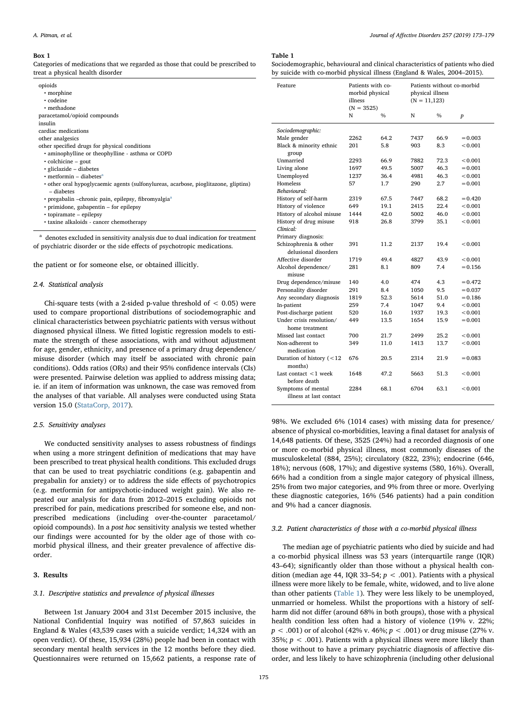#### <span id="page-2-0"></span>Box 1

Categories of medications that we regarded as those that could be prescribed to treat a physical health disorder

| a cat a physical nealen alsorael                                                    | $\frac{1}{2}$             |                                                                 |      |                                                              |      |       |
|-------------------------------------------------------------------------------------|---------------------------|-----------------------------------------------------------------|------|--------------------------------------------------------------|------|-------|
| opioids<br>• morphine<br>• codeine<br>• methadone                                   | Feature                   | Patients with co-<br>morbid physical<br>illness<br>$(N = 3525)$ |      | Patients without co-m<br>physical illness<br>$(N = 11, 123)$ |      |       |
| paracetamol/opioid compounds                                                        |                           | N                                                               | $\%$ | N                                                            | $\%$ | p     |
| insulin                                                                             |                           |                                                                 |      |                                                              |      |       |
| cardiac medications                                                                 | Sociodemographic:         |                                                                 |      |                                                              |      |       |
| other analgesics                                                                    | Male gender               | 2262                                                            | 64.2 | 7437                                                         | 66.9 | $=$   |
| other specified drugs for physical conditions                                       | Black & minority ethnic   | 201                                                             | 5.8  | 903                                                          | 8.3  | <     |
| • aminophylline or theophylline - asthma or COPD                                    | group                     |                                                                 |      |                                                              |      |       |
| $\cdot$ colchicine – gout                                                           | Unmarried                 | 2293                                                            | 66.9 | 7882                                                         | 72.3 | $\,<$ |
| · gliclazide - diabetes                                                             | Living alone              | 1697                                                            | 49.5 | 5007                                                         | 46.3 | $=$   |
| $\cdot$ metformin – diabetes <sup>a</sup>                                           | Unemployed                | 1237                                                            | 36.4 | 4981                                                         | 46.3 | $\,<$ |
| • other oral hypoglycaemic agents (sulfonylureas, acarbose, pioglitazone, gliptins) | Homeless                  | 57                                                              | 1.7  | 290                                                          | 2.7  | $=$   |
| - diabetes                                                                          | Behavioural:              |                                                                 |      |                                                              |      |       |
| · pregabalin -chronic pain, epilepsy, fibromyalgia <sup>a</sup>                     | History of self-harm      | 2319                                                            | 67.5 | 7447                                                         | 68.2 | $=$   |
| · primidone, gabapentin – for epilepsy                                              | History of violence       | 649                                                             | 19.1 | 2415                                                         | 22.4 | $\,<$ |
| $\cdot$ topiramate – epilepsy                                                       | History of alcohol misuse | 1444                                                            | 42.0 | 5002                                                         | 46.0 | $\,<$ |
| • taxine alkaloids - cancer chemotherapy                                            | History of drug misuse    | 918                                                             | 26.8 | 3799                                                         | 35.1 | $\,<$ |
|                                                                                     | Clinical:                 |                                                                 |      |                                                              |      |       |
| denotes excluded in sensitivity analysis due to dual indication for treatment       | Primary diagnosis:        |                                                                 |      |                                                              |      |       |

<span id="page-2-2"></span>of psychiatric disorder or the side effects of psychotropic medications.

the patient or for someone else, or obtained illicitly.

## 2.4. Statistical analysis

Chi-square tests (with a 2-sided p-value threshold of  $< 0.05$ ) were used to compare proportional distributions of sociodemographic and clinical characteristics between psychiatric patients with versus without diagnosed physical illness. We fitted logistic regression models to estimate the strength of these associations, with and without adjustment for age, gender, ethnicity, and presence of a primary drug dependence/ misuse disorder (which may itself be associated with chronic pain conditions). Odds ratios (ORs) and their 95% confidence intervals (CIs) were presented. Pairwise deletion was applied to address missing data; ie. if an item of information was unknown, the case was removed from the analyses of that variable. All analyses were conducted using Stata version 15.0 [\(StataCorp, 2017\)](#page-6-19).

## 2.5. Sensitivity analyses

We conducted sensitivity analyses to assess robustness of findings when using a more stringent definition of medications that may have been prescribed to treat physical health conditions. This excluded drugs that can be used to treat psychiatric conditions (e.g. gabapentin and pregabalin for anxiety) or to address the side effects of psychotropics (e.g. metformin for antipsychotic-induced weight gain). We also repeated our analysis for data from 2012–2015 excluding opioids not prescribed for pain, medications prescribed for someone else, and nonprescribed medications (including over-the-counter paracetamol/ opioid compounds). In a post hoc sensitivity analysis we tested whether our findings were accounted for by the older age of those with comorbid physical illness, and their greater prevalence of affective disorder.

## 3. Results

## 3.1. Descriptive statistics and prevalence of physical illnesses

Between 1st January 2004 and 31st December 2015 inclusive, the National Confidential Inquiry was notified of 57,863 suicides in England & Wales (43,539 cases with a suicide verdict; 14,324 with an open verdict). Of these, 15,934 (28%) people had been in contact with secondary mental health services in the 12 months before they died. Questionnaires were returned on 15,662 patients, a response rate of

#### <span id="page-2-1"></span>Table 1

Sociodemographic, behavioural and clinical characteristics of patients who died by suicide with co-morbid physical illness (England & Wales, 2004–2015).

| Feature                                       | Patients with co-<br>morbid physical<br>illness<br>$(N = 3525)$ |               | Patients without co-morbid<br>physical illness<br>$(N = 11, 123)$ |               |                  |
|-----------------------------------------------|-----------------------------------------------------------------|---------------|-------------------------------------------------------------------|---------------|------------------|
|                                               | N                                                               | $\frac{0}{0}$ | N                                                                 | $\frac{0}{0}$ | $\boldsymbol{p}$ |
| Sociodemographic:                             |                                                                 |               |                                                                   |               |                  |
| Male gender                                   | 2262                                                            | 64.2          | 7437                                                              | 66.9          | $= 0.003$        |
| Black & minority ethnic<br>group              | 201                                                             | 5.8           | 903                                                               | 8.3           | < 0.001          |
| Unmarried                                     | 2293                                                            | 66.9          | 7882                                                              | 72.3          | < 0.001          |
| Living alone                                  | 1697                                                            | 49.5          | 5007                                                              | 46.3          | $= 0.001$        |
| Unemployed                                    | 1237                                                            | 36.4          | 4981                                                              | 46.3          | < 0.001          |
| Homeless                                      | 57                                                              | 1.7           | 290                                                               | 2.7           | $= 0.001$        |
| Behavioural:                                  |                                                                 |               |                                                                   |               |                  |
| History of self-harm                          | 2319                                                            | 67.5          | 7447                                                              | 68.2          | $= 0.420$        |
| History of violence                           | 649                                                             | 19.1          | 2415                                                              | 22.4          | < 0.001          |
| History of alcohol misuse                     | 1444                                                            | 42.0          | 5002                                                              | 46.0          | < 0.001          |
| History of drug misuse                        | 918                                                             | 26.8          | 3799                                                              | 35.1          | < 0.001          |
| Clinical:                                     |                                                                 |               |                                                                   |               |                  |
| Primary diagnosis:                            |                                                                 |               |                                                                   |               |                  |
| Schizophrenia & other<br>delusional disorders | 391                                                             | 11.2          | 2137                                                              | 19.4          | < 0.001          |
| Affective disorder                            | 1719                                                            | 49.4          | 4827                                                              | 43.9          | < 0.001          |
| Alcohol dependence/<br>misuse                 | 281                                                             | 8.1           | 809                                                               | 7.4           | $= 0.156$        |
| Drug dependence/misuse                        | 140                                                             | 4.0           | 474                                                               | 4.3           | $= 0.472$        |
| Personality disorder                          | 291                                                             | 8.4           | 1050                                                              | 9.5           | $= 0.037$        |
| Any secondary diagnosis                       | 1819                                                            | 52.3          | 5614                                                              | 51.0          | $= 0.186$        |
| In-patient                                    | 259                                                             | 7.4           | 1047                                                              | 9.4           | < 0.001          |
| Post-discharge patient                        | 520                                                             | 16.0          | 1937                                                              | 19.3          | < 0.001          |
| Under crisis resolution/                      | 449                                                             | 13.5          | 1654                                                              | 15.9          | $= 0.001$        |
| home treatment                                |                                                                 |               |                                                                   |               |                  |
| Missed last contact                           | 700                                                             | 21.7          | 2499                                                              | 25.2          | < 0.001          |
| Non-adherent to<br>medication                 | 349                                                             | 11.0          | 1413                                                              | 13.7          | < 0.001          |
| Duration of history $(< 12$<br>months)        | 676                                                             | 20.5          | 2314                                                              | 21.9          | $= 0.083$        |
| Last contact $\leq 1$ week<br>before death    | 1648                                                            | 47.2          | 5663                                                              | 51.3          | < 0.001          |
| Symptoms of mental<br>illness at last contact | 2284                                                            | 68.1          | 6704                                                              | 63.1          | < 0.001          |

98%. We excluded 6% (1014 cases) with missing data for presence/ absence of physical co-morbidities, leaving a final dataset for analysis of 14,648 patients. Of these, 3525 (24%) had a recorded diagnosis of one or more co-morbid physical illness, most commonly diseases of the musculoskeletal (884, 25%); circulatory (822, 23%); endocrine (646, 18%); nervous (608, 17%); and digestive systems (580, 16%). Overall, 66% had a condition from a single major category of physical illness, 25% from two major categories, and 9% from three or more. Overlying these diagnostic categories, 16% (546 patients) had a pain condition and 9% had a cancer diagnosis.

## 3.2. Patient characteristics of those with a co-morbid physical illness

The median age of psychiatric patients who died by suicide and had a co-morbid physical illness was 53 years (interquartile range (IQR) 43–64); significantly older than those without a physical health condition (median age 44, IQR 33-54;  $p < .001$ ). Patients with a physical illness were more likely to be female, white, widowed, and to live alone than other patients ([Table 1](#page-2-1)). They were less likely to be unemployed, unmarried or homeless. Whilst the proportions with a history of selfharm did not differ (around 68% in both groups), those with a physical health condition less often had a history of violence (19% v. 22%;  $p < .001$ ) or of alcohol (42% v. 46%;  $p < .001$ ) or drug misuse (27% v. 35%;  $p < .001$ ). Patients with a physical illness were more likely than those without to have a primary psychiatric diagnosis of affective disorder, and less likely to have schizophrenia (including other delusional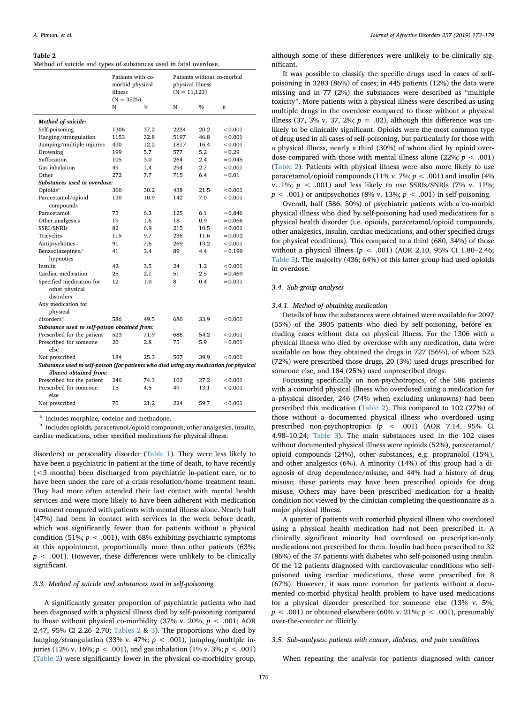#### <span id="page-3-0"></span>Table 2

| Method of suicide and types of substances used in fatal overdose. |  |  |  |  |
|-------------------------------------------------------------------|--|--|--|--|
|-------------------------------------------------------------------|--|--|--|--|

|                                                                                        | Patients with co-<br>morbid physical<br>illness<br>$(N = 3525)$ |               | Patients without co-morbid<br>physical illness<br>$(N = 11,123)$ |               |                  |  |  |
|----------------------------------------------------------------------------------------|-----------------------------------------------------------------|---------------|------------------------------------------------------------------|---------------|------------------|--|--|
|                                                                                        | N                                                               | $\frac{0}{0}$ | N                                                                | $\frac{0}{0}$ | $\boldsymbol{p}$ |  |  |
| Method of suicide:                                                                     |                                                                 |               |                                                                  |               |                  |  |  |
| Self-poisoning                                                                         | 1306                                                            | 37.2          | 2234                                                             | 20.2          | < 0.001          |  |  |
| Hanging/strangulation                                                                  | 1153                                                            | 32.8          | 5197                                                             | 46.8          | < 0.001          |  |  |
| Jumping/multiple injuries                                                              | 430                                                             | 12.2          | 1817                                                             | 16.4          | < 0.001          |  |  |
| Drowning                                                                               | 199                                                             | 5.7           | 577                                                              | 5.2           | $= 0.29$         |  |  |
| Suffocation                                                                            | 105                                                             | 3.0           | 264                                                              | 2.4           | $= 0.045$        |  |  |
| Gas inhalation                                                                         | 49                                                              | 1.4           | 294                                                              | 2.7           | < 0.001          |  |  |
| Other                                                                                  | 272                                                             | 7.7           | 715                                                              | 6.4           | $= 0.01$         |  |  |
| Substances used in overdose:                                                           |                                                                 |               |                                                                  |               |                  |  |  |
| Opioids <sup>a</sup>                                                                   | 360                                                             | 30.2          | 438                                                              | 21.5          | < 0.001          |  |  |
| Paracetamol/opioid                                                                     | 130                                                             | 10.9          | 142                                                              | 7.0           | < 0.001          |  |  |
| compounds                                                                              |                                                                 |               |                                                                  |               |                  |  |  |
| Paracetamol                                                                            | 75                                                              | 6.3           | 125                                                              | 6.1           | $= 0.846$        |  |  |
| Other analgesics                                                                       | 19                                                              | 1.6           | 18                                                               | 0.9           | $= 0.066$        |  |  |
| SSRI/SNRIs                                                                             | 82                                                              | 6.9           | 215                                                              | 10.5          | < 0.001          |  |  |
| Tricyclics                                                                             | 115                                                             | 9.7           | 236                                                              | 11.6          | $= 0.092$        |  |  |
| Antipsychotics                                                                         | 91                                                              | 7.6           | 269                                                              | 13.2          | < 0.001          |  |  |
| Benzodiazepines/                                                                       | 41                                                              | 3.4           | 89                                                               | 4.4           | $= 0.199$        |  |  |
| hypnotics                                                                              |                                                                 |               |                                                                  |               |                  |  |  |
| Insulin                                                                                | 42                                                              | 3.5           | 24                                                               | 1.2           | < 0.001          |  |  |
| Cardiac medication                                                                     | 25                                                              | 2.1           | 51                                                               | 2.5           | $= 0.469$        |  |  |
| Specified medication for                                                               | 12                                                              | 1.0           | 8                                                                | 0.4           | $= 0.031$        |  |  |
| other physical<br>disorders                                                            |                                                                 |               |                                                                  |               |                  |  |  |
| Any medication for                                                                     |                                                                 |               |                                                                  |               |                  |  |  |
| physical                                                                               |                                                                 |               |                                                                  |               |                  |  |  |
| disorders <sup>b</sup>                                                                 | 586                                                             | 49.5          | 680                                                              | 33.9          | < 0.001          |  |  |
| Substance used to self-poison obtained from:                                           |                                                                 |               |                                                                  |               |                  |  |  |
| Prescribed for the patient                                                             | 523                                                             | 71.9          | 688                                                              | 54.2          | < 0.001          |  |  |
| Prescribed for someone                                                                 | 20                                                              | 2.8           | 75                                                               | 5.9           | $= 0.001$        |  |  |
| else                                                                                   |                                                                 |               |                                                                  |               |                  |  |  |
| Not prescribed                                                                         | 184                                                             | 25.3          | 507                                                              | 39.9          | < 0.001          |  |  |
| Substance used to self-poison (for patients who died using any medication for physical |                                                                 |               |                                                                  |               |                  |  |  |
| illness) obtained from:                                                                |                                                                 |               |                                                                  |               |                  |  |  |
| Prescribed for the patient                                                             | 246                                                             | 74.3          | 102                                                              | 27.2          | < 0.001          |  |  |
| Prescribed for someone<br>else                                                         | 15                                                              | 4.5           | 49                                                               | 13.1          | < 0.001          |  |  |
| Not prescribed                                                                         | 70                                                              | 21.2          | 224                                                              | 59.7          | < 0.001          |  |  |

<span id="page-3-1"></span>includes morphine, codeine and methadone.

<span id="page-3-2"></span><sup>b</sup> includes opioids, paracetamol/opioid compounds, other analgesics, insulin, cardiac medications, other specified medications for physical illness.

disorders) or personality disorder [\(Table 1\)](#page-2-1). They were less likely to have been a psychiatric in-patient at the time of death, to have recently (<3 months) been discharged from psychiatric in-patient care, or to have been under the care of a crisis resolution/home treatment team. They had more often attended their last contact with mental health services and were more likely to have been adherent with medication treatment compared with patients with mental illness alone. Nearly half (47%) had been in contact with services in the week before death, which was significantly fewer than for patients without a physical condition (51%;  $p < .001$ ), with 68% exhibiting psychiatric symptoms at this appointment, proportionally more than other patients (63%;  $p < .001$ ). However, these differences were unlikely to be clinically significant.

## 3.3. Method of suicide and substances used in self-poisoning

A significantly greater proportion of psychiatric patients who had been diagnosed with a physical illness died by self-poisoning compared to those without physical co-morbidity (37% v. 20%,  $p < .001$ ; AOR 2.47, 95% CI 2.26–2.70; [Tables 2](#page-3-0) & [3](#page-4-0)). The proportions who died by hanging/strangulation (33% v. 47%;  $p < .001$ ), jumping/multiple injuries (12% v. 16%;  $p < .001$ ), and gas inhalation (1% v. 3%;  $p < .001$ ) ([Table 2](#page-3-0)) were significantly lower in the physical co-morbidity group,

although some of these differences were unlikely to be clinically significant.

It was possible to classify the specific drugs used in cases of selfpoisoning in 3283 (86%) of cases; in 445 patients (12%) the data were missing and in 77 (2%) the substances were described as "multiple toxicity". More patients with a physical illness were described as using multiple drugs in the overdose compared to those without a physical illness (37, 3% v. 37, 2%;  $p = .02$ ), although this difference was unlikely to be clinically significant. Opioids were the most common type of drug used in all cases of self-poisoning, but particularly for those with a physical illness, nearly a third (30%) of whom died by opioid overdose compared with those with mental illness alone (22%;  $p < .001$ ) ([Table 2\)](#page-3-0). Patients with physical illness were also more likely to use paracetamol/opioid compounds (11% v. 7%;  $p < .001$ ) and insulin (4%) v. 1%;  $p < .001$ ) and less likely to use SSRIs/SNRIs (7% v. 11%;  $p < .001$ ) or antipsychotics (8% v. 13%;  $p < .001$ ) in self-poisoning.

Overall, half (586, 50%) of psychiatric patients with a co-morbid physical illness who died by self-poisoning had used medications for a physical health disorder (i.e. opioids, paracetamol/opioid compounds, other analgesics, insulin, cardiac medications, and other specified drugs for physical conditions). This compared to a third (680, 34%) of those without a physical illness ( $p < .001$ ) (AOR 2.10, 95% CI 1.80-2.46; [Table 3\)](#page-4-0). The majority (436; 64%) of this latter group had used opioids in overdose.

#### 3.4. Sub-group analyses

#### 3.4.1. Method of obtaining medication

Details of how the substances were obtained were available for 2097 (55%) of the 3805 patients who died by self-poisoning, before excluding cases without data on physical illness. For the 1306 with a physical illness who died by overdose with any medication, data were available on how they obtained the drugs in 727 (56%), of whom 523 (72%) were prescribed those drugs, 20 (3%) used drugs prescribed for someone else, and 184 (25%) used unprescribed drugs.

Focussing specifically on non-psychotropics, of the 586 patients with a comorbid physical illness who overdosed using a medication for a physical disorder, 246 (74% when excluding unknowns) had been prescribed this medication ([Table 2\)](#page-3-0). This compared to 102 (27%) of those without a documented physical illness who overdosed using prescribed non-psychoptropics (p < .001) (AOR 7.14, 95% CI 4.98–10.24; [Table 3\)](#page-4-0). The main substances used in the 102 cases without documented physical illness were opioids (52%), paracetamol/ opioid compounds (24%), other substances, e.g. propranolol (15%), and other analgesics (6%). A minority (14%) of this group had a diagnosis of drug dependence/misuse, and 44% had a history of drug misuse; these patients may have been prescribed opioids for drug misuse. Others may have been prescribed medication for a health condition not viewed by the clinician completing the questionnaire as a major physical illness.

A quarter of patients with comorbid physical illness who overdosed using a physical health medication had not been prescribed it. A clinically significant minority had overdosed on prescription-only medications not prescribed for them. Insulin had been prescribed to 32 (86%) of the 37 patients with diabetes who self-poisoned using insulin. Of the 12 patients diagnosed with cardiovascular conditions who selfpoisoned using cardiac medications, these were prescribed for 8 (67%). However, it was more common for patients without a documented co-morbid physical health problem to have used medications for a physical disorder prescribed for someone else (13% v. 5%;  $p < .001$ ) or obtained elsewhere (60% v. 21%;  $p < .001$ ), presumably over-the-counter or illicitly.

## 3.5. Sub-analyses: patients with cancer, diabetes, and pain conditions

When repeating the analysis for patients diagnosed with cancer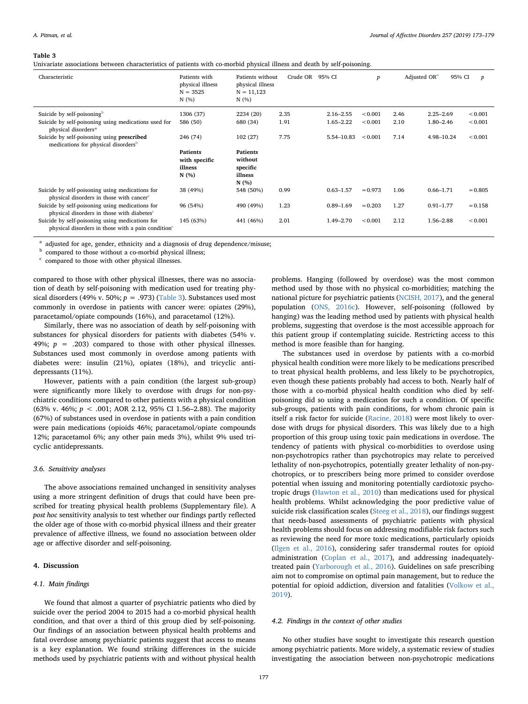#### <span id="page-4-0"></span>Table 3

Univariate associations between characteristics of patients with co-morbid physical illness and death by self-poisoning.

| Characteristic                                                                                                    | Patients with<br>physical illness<br>$N = 3525$<br>N(%) | Patients without<br>physical illness<br>$N = 11,123$<br>N(% | Crude OR | 95% CI        | $\boldsymbol{p}$ | Adjusted OR <sup>a</sup> | 95% CI        | p         |
|-------------------------------------------------------------------------------------------------------------------|---------------------------------------------------------|-------------------------------------------------------------|----------|---------------|------------------|--------------------------|---------------|-----------|
| Suicide by self-poisoning <sup>b</sup>                                                                            | 1306 (37)                                               | 2234 (20)                                                   | 2.35     | $2.16 - 2.55$ | < 0.001          | 2.46                     | $2.25 - 2.69$ | < 0.001   |
| Suicide by self-poisoning using medications used for<br>physical disorders*                                       | 586 (50)                                                | 680 (34)                                                    | 1.91     | $1.65 - 2.22$ | < 0.001          | 2.10                     | $1.80 - 2.46$ | < 0.001   |
| Suicide by self-poisoning using prescribed<br>medications for physical disorders <sup>b</sup>                     | 246 (74)                                                | 102(27)                                                     | 7.75     | 5.54-10.83    | < 0.001          | 7.14                     | 4.98-10.24    | < 0.001   |
|                                                                                                                   | <b>Patients</b><br>with specific<br>illness<br>N(%)     | <b>Patients</b><br>without<br>specific<br>illness<br>N(%)   |          |               |                  |                          |               |           |
| Suicide by self-poisoning using medications for<br>physical disorders in those with cancer <sup>c</sup>           | 38 (49%)                                                | 548 (50%)                                                   | 0.99     | $0.63 - 1.57$ | $= 0.973$        | 1.06                     | $0.66 - 1.71$ | $= 0.805$ |
| Suicide by self-poisoning using medications for<br>physical disorders in those with diabetes <sup>c</sup>         | 96 (54%)                                                | 490 (49%)                                                   | 1.23     | $0.89 - 1.69$ | $= 0.203$        | 1.27                     | $0.91 - 1.77$ | $= 0.158$ |
| Suicide by self-poisoning using medications for<br>physical disorders in those with a pain condition <sup>c</sup> | 145 (63%)                                               | 441 (46%)                                                   | 2.01     | 1.49-2.70     | < 0.001          | 2.12                     | 1.56-2.88     | < 0.001   |

<span id="page-4-1"></span><sup>a</sup> adjusted for age, gender, ethnicity and a diagnosis of drug dependence/misuse;

<span id="page-4-2"></span><sup>b</sup> compared to those without a co-morbid physical illness;

<span id="page-4-3"></span><sup>c</sup> compared to those with other physical illnesses.

compared to those with other physical illnesses, there was no association of death by self-poisoning with medication used for treating physical disorders (49% v. 50%;  $p = .973$ ) [\(Table 3\)](#page-4-0). Substances used most commonly in overdose in patients with cancer were: opiates (29%), paracetamol/opiate compounds (16%), and paracetamol (12%).

Similarly, there was no association of death by self-poisoning with substances for physical disorders for patients with diabetes (54% v. 49%;  $p = .203$ ) compared to those with other physical illnesses. Substances used most commonly in overdose among patients with diabetes were: insulin (21%), opiates (18%), and tricyclic antidepressants (11%).

However, patients with a pain condition (the largest sub-group) were significantly more likely to overdose with drugs for non-psychiatric conditions compared to other patients with a physical condition (63% v. 46%;  $p < .001$ ; AOR 2.12, 95% CI 1.56–2.88). The majority (67%) of substances used in overdose in patients with a pain condition were pain medications (opioids 46%; paracetamol/opiate compounds 12%; paracetamol 6%; any other pain meds 3%), whilst 9% used tricyclic antidepressants.

## 3.6. Sensitivity analyses

The above associations remained unchanged in sensitivity analyses using a more stringent definition of drugs that could have been prescribed for treating physical health problems (Supplementary file). A post hoc sensitivity analysis to test whether our findings partly reflected the older age of those with co-morbid physical illness and their greater prevalence of affective illness, we found no association between older age or affective disorder and self-poisoning.

## 4. Discussion

## 4.1. Main findings

We found that almost a quarter of psychiatric patients who died by suicide over the period 2004 to 2015 had a co-morbid physical health condition, and that over a third of this group died by self-poisoning. Our findings of an association between physical health problems and fatal overdose among psychiatric patients suggest that access to means is a key explanation. We found striking differences in the suicide methods used by psychiatric patients with and without physical health

problems. Hanging (followed by overdose) was the most common method used by those with no physical co-morbidities; matching the national picture for psychiatric patients [\(NCISH, 2017\)](#page-6-20), and the general population [\(ONS, 2016c\)](#page-6-14). However, self-poisoning (followed by hanging) was the leading method used by patients with physical health problems, suggesting that overdose is the most accessible approach for this patient group if contemplating suicide. Restricting access to this method is more feasible than for hanging.

The substances used in overdose by patients with a co-morbid physical health condition were more likely to be medications prescribed to treat physical health problems, and less likely to be psychotropics, even though these patients probably had access to both. Nearly half of those with a co-morbid physical health condition who died by selfpoisoning did so using a medication for such a condition. Of specific sub-groups, patients with pain conditions, for whom chronic pain is itself a risk factor for suicide [\(Racine, 2018](#page-6-21)) were most likely to overdose with drugs for physical disorders. This was likely due to a high proportion of this group using toxic pain medications in overdose. The tendency of patients with physical co-morbidities to overdose using non-psychotropics rather than psychotropics may relate to perceived lethality of non-psychotropics, potentially greater lethality of non-psychotropics, or to prescribers being more primed to consider overdose potential when issuing and monitoring potentially cardiotoxic psychotropic drugs [\(Hawton et al., 2010](#page-6-22)) than medications used for physical health problems. Whilst acknowledging the poor predictive value of suicide risk classification scales ([Steeg et al., 2018\)](#page-6-23), our findings suggest that needs-based assessments of psychiatric patients with physical health problems should focus on addressing modifiable risk factors such as reviewing the need for more toxic medications, particularly opioids ([Ilgen et al., 2016\)](#page-6-24), considering safer transdermal routes for opioid administration ([Coplan et al., 2017\)](#page-6-25), and addressing inadequatelytreated pain ([Yarborough et al., 2016\)](#page-6-26). Guidelines on safe prescribing aim not to compromise on optimal pain management, but to reduce the potential for opioid addiction, diversion and fatalities [\(Volkow et al.,](#page-6-27) [2019\)](#page-6-27).

#### 4.2. Findings in the context of other studies

No other studies have sought to investigate this research question among psychiatric patients. More widely, a systematic review of studies investigating the association between non-psychotropic medications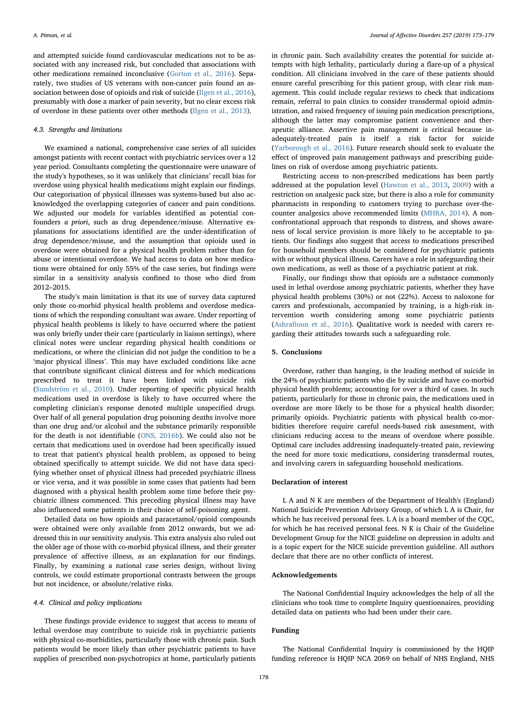and attempted suicide found cardiovascular medications not to be associated with any increased risk, but concluded that associations with other medications remained inconclusive ([Gorton et al., 2016](#page-6-9)). Separately, two studies of US veterans with non-cancer pain found an association between dose of opioids and risk of suicide ([Ilgen et al., 2016](#page-6-24)), presumably with dose a marker of pain severity, but no clear excess risk of overdose in these patients over other methods ([Ilgen et al., 2013\)](#page-6-12).

## 4.3. Strengths and limitations

We examined a national, comprehensive case series of all suicides amongst patients with recent contact with psychiatric services over a 12 year period. Consultants completing the questionnaire were unaware of the study's hypotheses, so it was unlikely that clinicians' recall bias for overdose using physical health medications might explain our findings. Our categorisation of physical illnesses was systems-based but also acknowledged the overlapping categories of cancer and pain conditions. We adjusted our models for variables identified as potential confounders a priori, such as drug dependence/misuse. Alternative explanations for associations identified are the under-identification of drug dependence/misuse, and the assumption that opioids used in overdose were obtained for a physical health problem rather than for abuse or intentional overdose. We had access to data on how medications were obtained for only 55% of the case series, but findings were similar in a sensitivity analysis confined to those who died from 2012–2015.

The study's main limitation is that its use of survey data captured only those co-morbid physical health problems and overdose medications of which the responding consultant was aware. Under reporting of physical health problems is likely to have occurred where the patient was only briefly under their care (particularly in liaison settings), where clinical notes were unclear regarding physical health conditions or medications, or where the clinician did not judge the condition to be a 'major physical illness'. This may have excluded conditions like acne that contribute significant clinical distress and for which medications prescribed to treat it have been linked with suicide risk ([Sundström et al., 2010](#page-6-28)). Under reporting of specific physical health medications used in overdose is likely to have occurred where the completing clinician's response denoted multiple unspecified drugs. Over half of all general population drug poisoning deaths involve more than one drug and/or alcohol and the substance primarily responsible for the death is not identifiable ([ONS, 2016b](#page-6-13)). We could also not be certain that medications used in overdose had been specifically issued to treat that patient's physical health problem, as opposed to being obtained specifically to attempt suicide. We did not have data specifying whether onset of physical illness had preceded psychiatric illness or vice versa, and it was possible in some cases that patients had been diagnosed with a physical health problem some time before their psychiatric illness commenced. This preceding physical illness may have also influenced some patients in their choice of self-poisoning agent.

Detailed data on how opioids and paracetamol/opioid compounds were obtained were only available from 2012 onwards, but we addressed this in our sensitivity analysis. This extra analysis also ruled out the older age of those with co-morbid physical illness, and their greater prevalence of affective illness, as an explanation for our findings. Finally, by examining a national case series design, without living controls, we could estimate proportional contrasts between the groups but not incidence, or absolute/relative risks.

## 4.4. Clinical and policy implications

These findings provide evidence to suggest that access to means of lethal overdose may contribute to suicide risk in psychiatric patients with physical co-morbidities, particularly those with chronic pain. Such patients would be more likely than other psychiatric patients to have supplies of prescribed non-psychotropics at home, particularly patients in chronic pain. Such availability creates the potential for suicide attempts with high lethality, particularly during a flare-up of a physical condition. All clinicians involved in the care of these patients should ensure careful prescribing for this patient group, with clear risk management. This could include regular reviews to check that indications remain, referral to pain clinics to consider transdermal opioid administration, and raised frequency of issuing pain medication prescriptions, although the latter may compromise patient convenience and therapeutic alliance. Assertive pain management is critical because inadequately-treated pain is itself a risk factor for suicide ([Yarborough et al., 2016\)](#page-6-26). Future research should seek to evaluate the effect of improved pain management pathways and prescribing guidelines on risk of overdose among psychiatric patients.

Restricting access to non-prescribed medications has been partly addressed at the population level ([Hawton et al., 2013](#page-6-2), [2009](#page-6-5)) with a restriction on analgesic pack size, but there is also a role for community pharmacists in responding to customers trying to purchase over-thecounter analgesics above recommended limits [\(MHRA, 2014\)](#page-6-29). A nonconfrontational approach that responds to distress, and shows awareness of local service provision is more likely to be acceptable to patients. Our findings also suggest that access to medications prescribed for household members should be considered for psychiatric patients with or without physical illness. Carers have a role in safeguarding their own medications, as well as those of a psychiatric patient at risk.

Finally, our findings show that opioids are a substance commonly used in lethal overdose among psychiatric patients, whether they have physical health problems (30%) or not (22%). Access to naloxone for carers and professionals, accompanied by training, is a high-risk intervention worth considering among some psychiatric patients (Ashrafi[oun et al., 2016\)](#page-6-30). Qualitative work is needed with carers regarding their attitudes towards such a safeguarding role.

## 5. Conclusions

Overdose, rather than hanging, is the leading method of suicide in the 24% of psychiatric patients who die by suicide and have co-morbid physical health problems; accounting for over a third of cases. In such patients, particularly for those in chronic pain, the medications used in overdose are more likely to be those for a physical health disorder; primarily opioids. Psychiatric patients with physical health co-morbidities therefore require careful needs-based risk assessment, with clinicians reducing access to the means of overdose where possible. Optimal care includes addressing inadequately-treated pain, reviewing the need for more toxic medications, considering transdermal routes, and involving carers in safeguarding household medications.

## Declaration of interest

L A and N K are members of the Department of Health's (England) National Suicide Prevention Advisory Group, of which L A is Chair, for which he has received personal fees. L A is a board member of the CQC, for which he has received personal fees. N K is Chair of the Guideline Development Group for the NICE guideline on depression in adults and is a topic expert for the NICE suicide prevention guideline. All authors declare that there are no other conflicts of interest.

# Acknowledgements

The National Confidential Inquiry acknowledges the help of all the clinicians who took time to complete Inquiry questionnaires, providing detailed data on patients who had been under their care.

## Funding

The National Confidential Inquiry is commissioned by the HQIP funding reference is HQIP NCA 2069 on behalf of NHS England, NHS